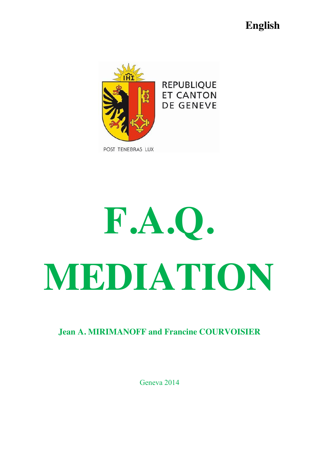# **English**



# **F.A.Q. MEDIATION**

**Jean A. MIRIMANOFF and Francine COURVOISIER**

Geneva 2014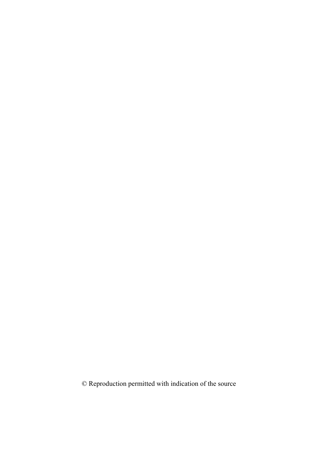© Reproduction permitted with indication of the source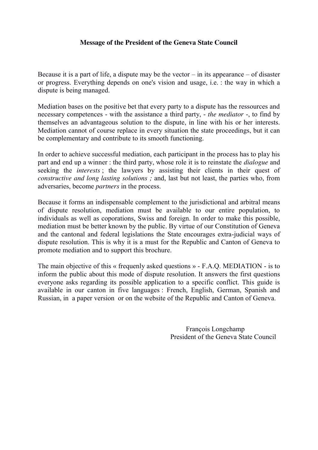#### **Message of the President of the Geneva State Council**

Because it is a part of life, a dispute may be the vector  $-\text{ in its appearance} - \text{ of disaster}$ or progress. Everything depends on one's vision and usage, i.e. : the way in which a dispute is being managed.

Mediation bases on the positive bet that every party to a dispute has the ressources and necessary competences - with the assistance a third party, - *the mediator* -, to find by themselves an advantageous solution to the dispute, in line with his or her interests. Mediation cannot of course replace in every situation the state proceedings, but it can be complementary and contribute to its smooth functioning.

In order to achieve successful mediation, each participant in the process has to play his part and end up a winner : the third party, whose role it is to reinstate the *dialogue* and seeking the *interests* ; the lawyers by assisting their clients in their quest of *constructive and long lasting solutions ;* and, last but not least, the parties who, from adversaries, become *partners* in the process.

Because it forms an indispensable complement to the jurisdictional and arbitral means of dispute resolution, mediation must be available to our entire population, to individuals as well as coporations, Swiss and foreign. In order to make this possible, mediation must be better known by the public. By virtue of our Constitution of Geneva and the cantonal and federal legislations the State encourages extra-judicial ways of dispute resolution. This is why it is a must for the Republic and Canton of Geneva to promote mediation and to support this brochure.

The main objective of this « frequenly asked questions » - F.A.Q. MEDIATION - is to inform the public about this mode of dispute resolution. It answers the first questions everyone asks regarding its possible application to a specific conflict. This guide is available in our canton in five languages : French, English, German, Spanish and Russian, in a paper version or on the website of the Republic and Canton of Geneva.

> François Longchamp President of the Geneva State Council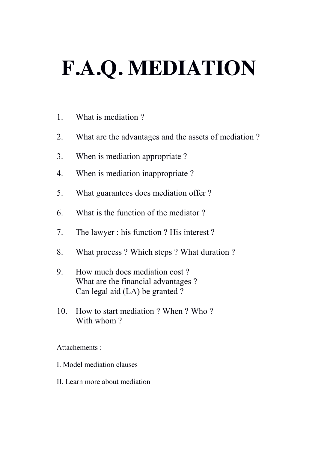# **F.A.Q. MEDIATION**

- 1. What is mediation ?
- 2. What are the advantages and the assets of mediation ?
- 3. When is mediation appropriate ?
- 4. When is mediation inappropriate ?
- 5. What guarantees does mediation offer ?
- 6. What is the function of the mediator ?
- 7. The lawyer : his function ? His interest ?
- 8. What process ? Which steps ? What duration ?
- 9. How much does mediation cost ? What are the financial advantages ? Can legal aid (LA) be granted ?
- 10. How to start mediation ? When ? Who ? With whom ?

Attachements :

- I. Model mediation clauses
- II. Learn more about mediation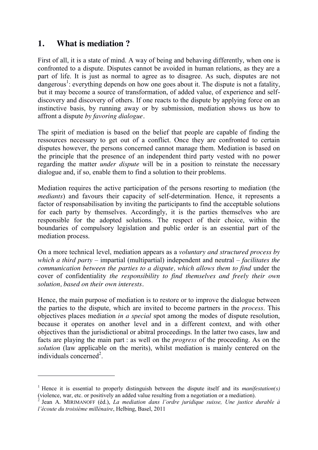# **1. What is mediation ?**

1

First of all, it is a state of mind. A way of being and behaving differently, when one is confronted to a dispute. Disputes cannot be avoided in human relations, as they are a part of life. It is just as normal to agree as to disagree. As such, disputes are not dangerous<sup>1</sup>: everything depends on how one goes about it. The dispute is not a fatality, but it may become a source of transformation, of added value, of experience and selfdiscovery and discovery of others. If one reacts to the dispute by applying force on an instinctive basis, by running away or by submission, mediation shows us how to affront a dispute *by favoring dialogue.*

The spirit of mediation is based on the belief that people are capable of finding the ressources necessary to get out of a conflict. Once they are confronted to certain disputes however, the persons concerned cannot manage them. Mediation is based on the principle that the presence of an independent third party vested with no power regarding the matter *under dispute* will be in a position to reinstate the necessary dialogue and, if so, enable them to find a solution to their problems.

Mediation requires the active participation of the persons resorting to mediation (the *mediants*) and favours their capacity of self-determination. Hence, it represents a factor of responsabilisation by inviting the participants to find the acceptable solutions for each party by themselves. Accordingly, it is the parties themselves who are responsible for the adopted solutions. The respect of their choice, within the boundaries of compulsory legislation and public order is an essential part of the mediation process.

On a more technical level, mediation appears as a *voluntary and structured process by which a third party –* impartial (multipartial) independent and neutral – *facilitates the communication between the parties to a dispute, which allows them to find under the* cover of confidentiality *the responsibility to find themselves and freely their own solution, based on their own interests.*

Hence, the main purpose of mediation is to restore or to improve the dialogue between the parties to the dispute, which are invited to become partners in the *process*. This objectives places mediation *in a special* spot among the modes of dispute resolution, because it operates on another level and in a different context, and with other objectives than the jurisdictional or abitral proceedings. In the latter two cases, law and facts are playing the main part : as well on the *progress* of the proceeding. As on the *solution* (law applicable on the merits), whilst mediation is mainly centered on the individuals concerned<sup>2</sup>.

<sup>1</sup> Hence it is essential to properly distinguish between the dispute itself and its *manifestation(s)* (violence, war, etc. or positively an added value resulting from a negotiation or a mediation).

<sup>2</sup> Jean A. MIRIMANOFF (éd.), *La mediation dans l'ordre juridique suisse, Une justice durable à l'écoute du troisième millénaire*, Helbing, Basel, 2011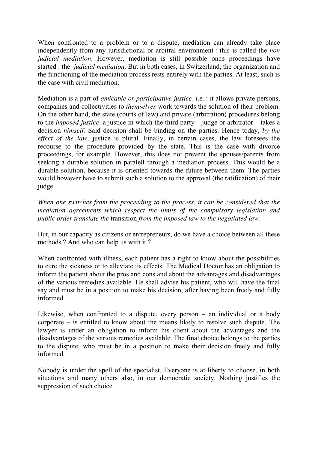When confronted to a problem or to a dispute, mediation can already take place independently from any jurisdictional or arbitral environment : this is called the *non judicial mediation*. However, mediation is still possible once proceedings have started : the *judicial mediation*. But in both cases, in Switzerland, the organization and the functioning of the mediation process rests entirely with the parties. At least, such is the case with civil mediation.

Mediation is a part of *amicable or participative justice,* i.e. : it allows private persons, companies and collectivities to *themselves* work towards the solution of their problem. On the other hand, the state (courts of law) and private (arbitration) procedures belong to the *imposed justice,* a justice in which the third party – judge or arbitrator – takes a decision *himself.* Said decision shall be binding on the parties. Hence today, *by the effect of the law,* justice is plural. Finally, in certain cases, the law foresees the recourse to the procedure provided by the state. This is the case with divorce proceedings, for example. However, this does not prevent the spouses/parents from seeking a durable solution in paralell through a mediation process. This would be a durable solution, because it is oriented towards the future between them. The parties would however have to submit such a solution to the approval (the ratification) of their judge.

*When one switches from the proceeding to the process, it can be considered that the mediation agreements which respect the limits of the compulsory legislation and public order translate the* transition *from the imposed law to the negotiated law.* 

But, in our capacity as citizens or entrepreneurs, do we have a choice between all these methods ? And who can help us with it ?

When confronted with illness, each patient has a right to know about the possibilities to cure the sickness or to alleviate its effects. The Medical Doctor has an obligation to inform the patient about the pros and cons and about the advantages and disadvantages of the various remedies available. He shall advise his patient, who will have the final say and must be in a position to make his decision, after having been freely and fully informed.

Likewise, when confronted to a dispute, every person – an individual or a body corporate – is entitled to know about the means likely to resolve such dispute. The lawyer is under an obligation to inform his client about the advantages and the disadvantages of the various remedies available. The final choice belongs to the parties to the dispute, who must be in a position to make their decision freely and fully informed.

Nobody is under the spell of the specialist. Everyone is at liberty to choose, in both situations and many others also, in our democratic society. Nothing justifies the suppression of such choice.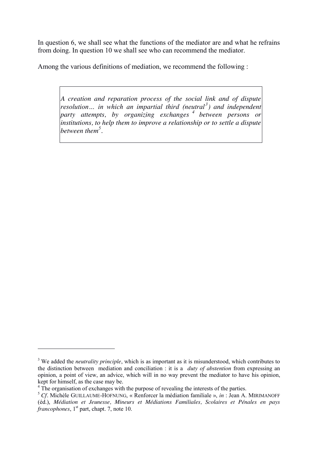In question 6, we shall see what the functions of the mediator are and what he refrains from doing. In question 10 we shall see who can recommend the mediator.

Among the various definitions of mediation, we recommend the following :

*A creation and reparation process of the social link and of dispute resolution*... in which an impartial third (neutral<sup>3</sup>) and independent *party attempts, by organizing exchanges <sup>4</sup> between persons or institutions, to help them to improve a relationship or to settle a dispute between them<sup>5</sup> .*

1

<sup>3</sup> We added the *neutrality principle*, which is as important as it is misunderstood, which contributes to the distinction between mediation and conciliation : it is a *duty of abstention* from expressing an opinion, a point of view, an advice, which will in no way prevent the mediator to have his opinion, kept for himself, as the case may be.

<sup>&</sup>lt;sup>4</sup> The organisation of exchanges with the purpose of revealing the interests of the parties.

<sup>5</sup> *Cf.* Michèle GUILLAUME-HOFNUNG, « Renforcer la médiation familiale », *in* : Jean A. MIRIMANOFF (éd.), *Médiation et Jeunesse, Mineurs et Médiations Familiales, Scolaires et Pénales en pays francophones*, 1<sup>st</sup> part, chapt. 7, note 10.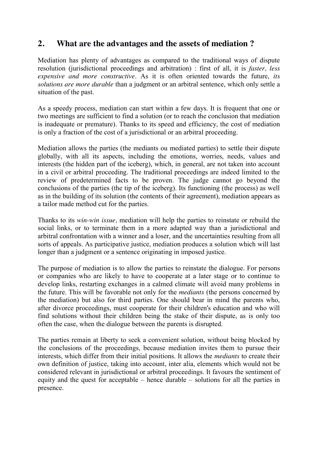# **2. What are the advantages and the assets of mediation ?**

Mediation has plenty of advantages as compared to the traditional ways of dispute resolution (jurisdictional proceedings and arbitration) : first of all, it is *faster, less expensive and more constructive*. As it is often oriented towards the future, *its solutions are more durable* than a judgment or an arbitral sentence, which only settle a situation of the past.

As a speedy process, mediation can start within a few days. It is frequent that one or two meetings are sufficient to find a solution (or to reach the conclusion that mediation is inadequate or premature). Thanks to its speed and efficiency, the cost of mediation is only a fraction of the cost of a jurisdictional or an arbitral proceeding.

Mediation allows the parties (the mediants ou mediated parties) to settle their dispute globally, with all its aspects, including the emotions, worries, needs, values and interests (the hidden part of the iceberg), which, in general, are not taken into account in a civil or arbitral proceeding. The traditional proceedings are indeed limited to the review of predetermined facts to be proven. The judge cannot go beyond the conclusions of the parties (the tip of the iceberg). Its functioning (the process) as well as in the building of its solution (the contents of their agreement), mediation appears as a tailor made method cut for the parties.

Thanks to its *win-win issue,* mediation will help the parties to reinstate or rebuild the social links, or to terminate them in a more adapted way than a jurisdictional and arbitral confrontation with a winner and a loser, and the uncertainties resulting from all sorts of appeals. As participative justice, mediation produces a solution which will last longer than a judgment or a sentence originating in imposed justice.

The purpose of mediation is to allow the parties to reinstate the dialogue. For persons or companies who are likely to have to cooperate at a later stage or to continue to develop links, restarting exchanges in a calmed climate will avoid many problems in the future. This will be favorable not only for the *mediants* (the persons concerned by the mediation) but also for third parties. One should bear in mind the parents who, after divorce proceedings, must cooperate for their children's education and who will find solutions without their children being the stake of their dispute, as is only too often the case, when the dialogue between the parents is disrupted.

The parties remain at liberty to seek a convenient solution, without being blocked by the conclusions of the proceedings, because mediation invites them to pursue their interests, which differ from their initial positions. It allows the *mediants* to create their own definition of justice, taking into account, inter alia, elements which would not be considered relevant in jurisdictional or arbitral proceedings. It favours the sentiment of equity and the quest for acceptable – hence durable – solutions for all the parties in presence.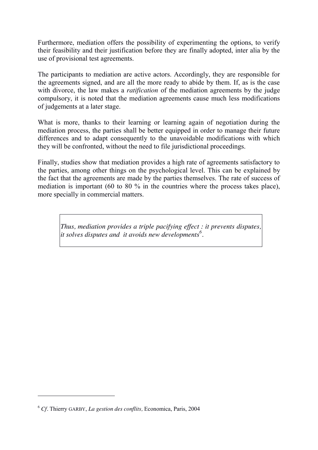Furthermore, mediation offers the possibility of experimenting the options, to verify their feasibility and their justification before they are finally adopted, inter alia by the use of provisional test agreements.

The participants to mediation are active actors. Accordingly, they are responsible for the agreements signed, and are all the more ready to abide by them. If, as is the case with divorce, the law makes a *ratification* of the mediation agreements by the judge compulsory, it is noted that the mediation agreements cause much less modifications of judgements at a later stage.

What is more, thanks to their learning or learning again of negotiation during the mediation process, the parties shall be better equipped in order to manage their future differences and to adapt consequently to the unavoidable modifications with which they will be confronted, without the need to file jurisdictional proceedings.

Finally, studies show that mediation provides a high rate of agreements satisfactory to the parties, among other things on the psychological level. This can be explained by the fact that the agreements are made by the parties themselves. The rate of success of mediation is important (60 to 80 % in the countries where the process takes place), more specially in commercial matters.

*Thus, mediation provides a triple pacifying effect : it prevents disputes, it solves disputes and it avoids new developments<sup>6</sup> .*

1

<sup>6</sup> *Cf.* Thierry GARBY, *La gestion des conflits,* Economica, Paris, 2004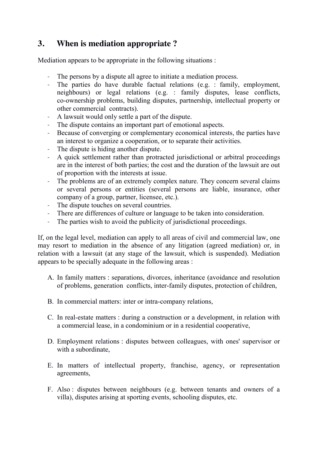# **3. When is mediation appropriate ?**

Mediation appears to be appropriate in the following situations :

- The persons by a dispute all agree to initiate a mediation process.
- The parties do have durable factual relations (e.g. : family, employment, neighbours) or legal relations (e.g. : family disputes, lease conflicts, co-ownership problems, building disputes, partnership, intellectual property or other commercial contracts).
- A lawsuit would only settle a part of the dispute.
- The dispute contains an important part of emotional aspects.
- Because of converging or complementary economical interests, the parties have an interest to organize a cooperation, or to separate their activities.
- The dispute is hiding another dispute.
- A quick settlement rather than protracted jurisdictional or arbitral proceedings are in the interest of both parties; the cost and the duration of the lawsuit are out of proportion with the interests at issue.
- The problems are of an extremely complex nature. They concern several claims or several persons or entities (several persons are liable, insurance, other company of a group, partner, licensee, etc.).
- The dispute touches on several countries.
- There are differences of culture or language to be taken into consideration.
- The parties wish to avoid the publicity of jurisdictional proceedings.

If, on the legal level, mediation can apply to all areas of civil and commercial law, one may resort to mediation in the absence of any litigation (agreed mediation) or, in relation with a lawsuit (at any stage of the lawsuit, which is suspended). Mediation appears to be specially adequate in the following areas :

- A. In family matters : separations, divorces, inheritance (avoidance and resolution of problems, generation conflicts, inter-family disputes, protection of children,
- B. In commercial matters: inter or intra-company relations,
- C. In real-estate matters : during a construction or a development, in relation with a commercial lease, in a condominium or in a residential cooperative,
- D. Employment relations : disputes between colleagues, with ones' supervisor or with a subordinate,
- E. In matters of intellectual property, franchise, agency, or representation agreements,
- F. Also : disputes between neighbours (e.g. between tenants and owners of a villa), disputes arising at sporting events, schooling disputes, etc.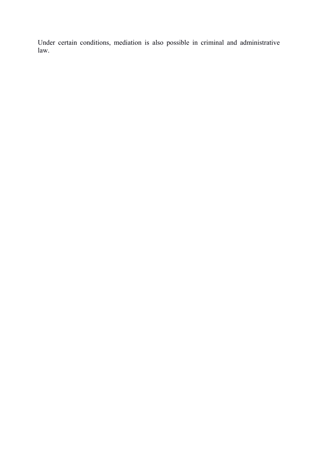Under certain conditions, mediation is also possible in criminal and administrative law.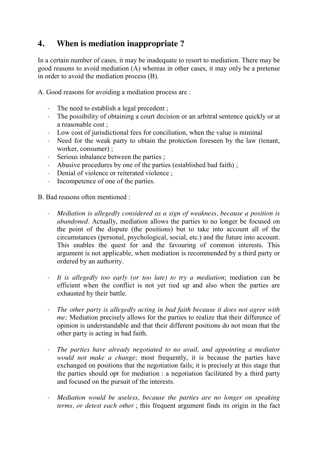# **4. When is mediation inappropriate ?**

In a certain number of cases, it may be inadequate to resort to mediation. There may be good reasons to avoid mediation (A) whereas in other cases, it may only be a pretense in order to avoid the mediation process (B).

A. Good reasons for avoiding a mediation process are :

- The need to establish a legal precedent ;
- The possibility of obtaining a court decision or an arbitral sentence quickly or at a reasonable cost ;
- Low cost of jurisdictional fees for conciliation, when the value is minimal
- Need for the weak party to obtain the protection foreseen by the law (tenant, worker, consumer) ;
- Serious inbalance between the parties ;
- Abusive procedures by one of the parties (established bad faith) ;
- Denial of violence or reiterated violence ;
- Incompetence of one of the parties.

B. Bad reasons often mentioned :

- *Mediation is allegedly considered as a sign of weakness, because a position is abandoned.* Actually, mediation allows the parties to no longer be focused on the point of the dispute (the positions) but to take into account all of the circumstances (personal, psychological, social, etc.) and the future into account. This enables the quest for and the favouring of common interests. This argument is not applicable, when mediation is recommended by a third party or ordered by an authority.
- *It is allegedly too early (or too late) to try a mediation*; mediation can be efficient when the conflict is not yet tied up and also when the parties are exhausted by their battle.
- *The other party is allegedly acting in bad faith because it does not agree with me;* Mediation precisely allows for the parties to realize that their difference of opinion is understandable and that their different positions do not mean that the other party is acting in bad faith.
- *The parties have already negotiated to no avail, and appointing a mediator would not make a change*; most frequently, it is because the parties have exchanged on positions that the negotiation fails; it is precisely at this stage that the parties should opt for mediation : a negotiation facilitated by a third party and focused on the pursuit of the interests.
- *Mediation would be useless, because the parties are no longer on speaking terms, or detest each other* ; this frequent argument finds its origin in the fact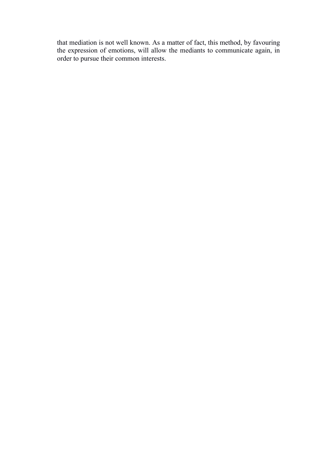that mediation is not well known. As a matter of fact, this method, by favouring the expression of emotions, will allow the mediants to communicate again, in order to pursue their common interests.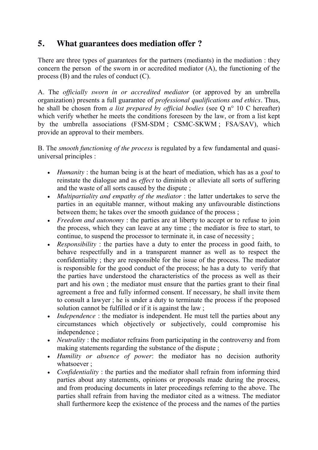# **5. What guarantees does mediation offer ?**

There are three types of guarantees for the partners (mediants) in the mediation : they concern the person of the sworn in or accredited mediator (A), the functioning of the process (B) and the rules of conduct (C).

A. The *officially sworn in or accredited mediator* (or approved by an umbrella organization) presents a full guarantee of *professional qualifications and ethics.* Thus, he shall be chosen from *a list prepared by official bodies* (see Q n° 10 C hereafter) which verify whether he meets the conditions foreseen by the law, or from a list kept by the umbrella associations (FSM-SDM ; CSMC-SKWM ; FSA/SAV), which provide an approval to their members.

B. The *smooth functioning of the process* is regulated by a few fundamental and quasiuniversal principles :

- x *Humanity* : the human being is at the heart of mediation, which has as a *goal* to reinstate the dialogue and as *effect* to diminish or alleviate all sorts of suffering and the waste of all sorts caused by the dispute ;
- *Multipartiality and empathy of the mediator* : the latter undertakes to serve the parties in an equitable manner, without making any unfavourable distinctions between them; he takes over the smooth guidance of the process ;
- *Freedom and autonomy*: the parties are at liberty to accept or to refuse to join the process, which they can leave at any time ; the mediator is free to start, to continue, to suspend the processor to terminate it, in case of necessity ;
- *Responsibility*: the parties have a duty to enter the process in good faith, to behave respectfully and in a transparent manner as well as to respect the confidentiality ; they are responsible for the issue of the process. The mediator is responsible for the good conduct of the process; he has a duty to verify that the parties have understood the characteristics of the process as well as their part and his own ; the mediator must ensure that the parties grant to their final agreement a free and fully informed consent. If necessary, he shall invite them to consult a lawyer ; he is under a duty to terminate the process if the proposed solution cannot be fulfilled or if it is against the law :
- *Independence*: the mediator is independent. He must tell the parties about any circumstances which objectively or subjectively, could compromise his independence ;
- *Neutrality*: the mediator refrains from participating in the controversy and from making statements regarding the substance of the dispute ;
- x *Humility or absence of power*: the mediator has no decision authority whatsoever ;
- *Confidentiality*: the parties and the mediator shall refrain from informing third parties about any statements, opinions or proposals made during the process, and from producing documents in later proceedings referring to the above. The parties shall refrain from having the mediator cited as a witness. The mediator shall furthermore keep the existence of the process and the names of the parties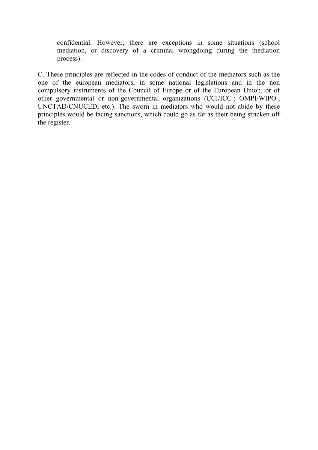confidential. However, there are exceptions in some situations (school mediation, or discovery of a criminal wrongdoing during the mediation process).

C. These principles are reflected in the codes of conduct of the mediators such as the one of the european mediators, in some national legislations and in the non compulsory instruments of the Council of Europe or of the European Union, or of other governmental or non-governmental organizations (CCI/ICC ; OMPI/WIPO ; UNCTAD/CNUCED, etc.). The sworn in mediators who would not abide by these principles would be facing sanctions, which could go as far as their being stricken off the register.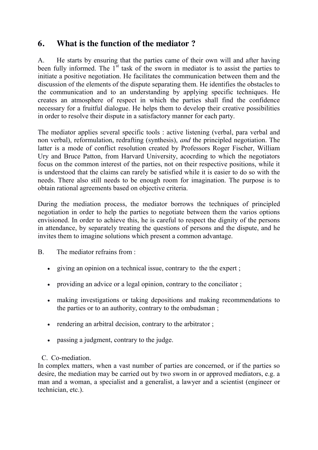# **6. What is the function of the mediator ?**

A. He starts by ensuring that the parties came of their own will and after having been fully informed. The  $1<sup>st</sup>$  task of the sworn in mediator is to assist the parties to initiate a positive negotiation. He facilitates the communication between them and the discussion of the elements of the dispute separating them. He identifies the obstacles to the communication and to an understanding by applying specific techniques. He creates an atmosphere of respect in which the parties shall find the confidence necessary for a fruitful dialogue. He helps them to develop their creative possibilities in order to resolve their dispute in a satisfactory manner for each party.

The mediator applies several specific tools : active listening (verbal, para verbal and non verbal), reformulation, redrafting (synthesis), *and* the principled negotiation. The latter is a mode of conflict resolution created by Professors Roger Fischer, William Ury and Bruce Patton, from Harvard University, acocrding to which the negotiators focus on the common interest of the parties, not on their respective positions, while it is understood that the claims can rarely be satisfied while it is easier to do so with the needs. There also still needs to be enough room for imagination. The purpose is to obtain rational agreements based on objective criteria.

During the mediation process, the mediator borrows the techniques of principled negotiation in order to help the parties to negotiate between them the varios options envisioned. In order to achieve this, he is careful to respect the dignity of the persons in attendance, by separately treating the questions of persons and the dispute, and he invites them to imagine solutions which present a common advantage.

B. The mediator refrains from :

- $\bullet$  giving an opinion on a technical issue, contrary to the the expert;
- providing an advice or a legal opinion, contrary to the conciliator  $\colon$
- making investigations or taking depositions and making recommendations to the parties or to an authority, contrary to the ombudsman ;
- $\bullet$  rendering an arbitral decision, contrary to the arbitrator;
- passing a judgment, contrary to the judge.
- C. Co-mediation.

In complex matters, when a vast number of parties are concerned, or if the parties so desire, the mediation may be carried out by two sworn in or approved mediators, e.g. a man and a woman, a specialist and a generalist, a lawyer and a scientist (engineer or technician, etc.).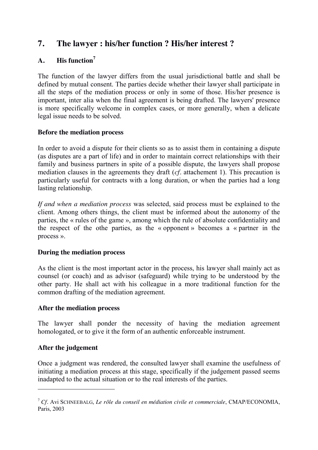# **7. The lawyer : his/her function ? His/her interest ?**

#### **A. His function<sup>7</sup>**

The function of the lawyer differs from the usual jurisdictional battle and shall be defined by mutual consent. The parties decide whether their lawyer shall participate in all the steps of the mediation process or only in some of those. His/her presence is important, inter alia when the final agreement is being drafted. The lawyers' presence is more specifically welcome in complex cases, or more generally, when a delicate legal issue needs to be solved.

#### **Before the mediation process**

In order to avoid a dispute for their clients so as to assist them in containing a dispute (as disputes are a part of life) and in order to maintain correct relationships with their family and business partners in spite of a possible dispute, the lawyers shall propose mediation clauses in the agreements they draft (*cf.* attachement 1). This precaution is particularly useful for contracts with a long duration, or when the parties had a long lasting relationship.

*If and when a mediation process* was selected, said process must be explained to the client. Among others things, the client must be informed about the autonomy of the parties, the « rules of the game », among which the rule of absolute confidentiality and the respect of the othe parties, as the « opponent » becomes a « partner in the process ».

#### **During the mediation process**

As the client is the most important actor in the process, his lawyer shall mainly act as counsel (or coach) and as advisor (safeguard) while trying to be understood by the other party. He shall act with his colleague in a more traditional function for the common drafting of the mediation agreement.

#### **After the mediation process**

The lawyer shall ponder the necessity of having the mediation agreement homologated, or to give it the form of an authentic enforceable instrument.

#### **After the judgement**

<u>.</u>

Once a judgment was rendered, the consulted lawyer shall examine the usefulness of initiating a mediation process at this stage, specifically if the judgement passed seems inadapted to the actual situation or to the real interests of the parties.

<sup>7</sup> *Cf.* Avi SCHNEEBALG, *Le rôle du conseil en médiation civile et commerciale*, CMAP/ECONOMIA, Paris, 2003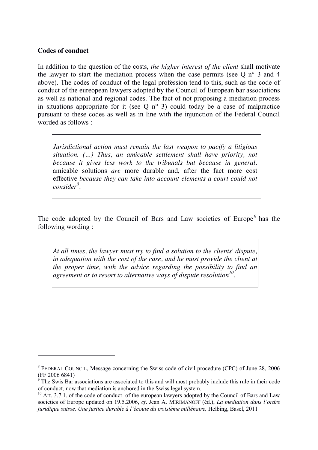#### **Codes of conduct**

1

In addition to the question of the costs, *the higher interest of the client* shall motivate the lawyer to start the mediation process when the case permits (see  $O$  n° 3 and 4 above). The codes of conduct of the legal profession tend to this, such as the code of conduct of the eureopean lawyers adopted by the Council of European bar associations as well as national and regional codes. The fact of not proposing a mediation process in situations appropriate for it (see O  $n^{\circ}$  3) could today be a case of malpractice pursuant to these codes as well as in line with the injunction of the Federal Council worded as follows :

*Jurisdictional action must remain the last weapon to pacify a litigious situation. (…) Thus, an amicable settlement shall have priority, not because it gives less work to the tribunals but because in general,*  amicable solutions *are* more durable and, after the fact more cost effective *because they can take into account elements a court could not consider<sup>8</sup>* .

The code adopted by the Council of Bars and Law societies of Europe<sup>9</sup> has the following wording :

*At all times, the lawyer must try to find a solution to the clients' dispute, in adequation with the cost of the case, and he must provide the client at the proper time, with the advice regarding the possibility to find an agreement or to resort to alternative ways of dispute resolution10.*

<sup>8</sup> FEDERAL COUNCIL, Message concerning the Swiss code of civil procedure (CPC) of June 28, 2006 (FF 2006 6841)

 $9^9$  The Swis Bar associations are associated to this and will most probably include this rule in their code of conduct, now that mediation is anchored in the Swiss legal system.

 $10$  Art. 3.7.1. of the code of conduct of the european lawyers adopted by the Council of Bars and Law societies of Europe updated on 19.5.2006, *cf.* Jean A. MIRIMANOFF (éd.), *La mediation dans l'ordre juridique suisse, Une justice durable à l'écoute du troisième millénaire,* Helbing, Basel, 2011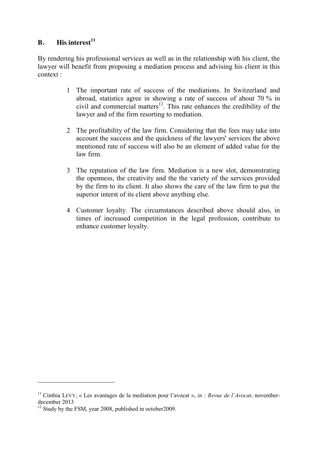#### **B. His interest<sup>11</sup>**

By rendering his professional services as well as in the relationship with his client, the lawyer will benefit from proposing a mediation process and advising his client in this context :

- 1 The important rate of success of the mediations. In Switzerland and abroad, statistics agree in showing a rate of success of about 70 % in civil and commercial matters<sup>12</sup>. This rate enhances the credibility of the lawyer and of the firm resorting to mediation.
- 2 The profitability of the law firm. Considering that the fees may take into account the success and the quickness of the lawyers' services the above mentioned rate of success will also be an element of added value for the law firm.
- 3 The reputation of the law firm. Mediation is a new slot, demonstrating the openness, the creativity and the the variety of the services provided by the firm to its client. It also shows the care of the law firm to put the superior interst of its client above anything else.
- 4 Customer loyalty. The circumstances described above should also, in times of increased competition in the legal profession, contribute to enhance customer loyalty.

1

<sup>11</sup> Cinthia LEVY, « Les avantages de la mediation pour l'avocat », *in : Revue de l'Avocat*, novemberdecember 2013

 $12$  Study by the FSM, year 2008, published in october 2009.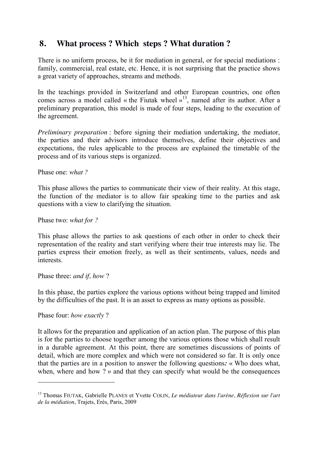# **8. What process ? Which steps ? What duration ?**

There is no uniform process, be it for mediation in general, or for special mediations : family, commercial, real estate, etc. Hence, it is not surprising that the practice shows a great variety of approaches, streams and methods.

In the teachings provided in Switzerland and other European countries, one often comes across a model called « the Fiutak wheel  $v^{13}$ , named after its author. After a preliminary preparation, this model is made of four steps, leading to the execution of the agreement.

*Preliminary preparation* : before signing their mediation undertaking, the mediator, the parties and their advisors introduce themselves, define their objectives and expectations, the rules applicable to the process are explained the timetable of the process and of its various steps is organized.

Phase one: *what ?*

This phase allows the parties to communicate their view of their reality. At this stage, the function of the mediator is to allow fair speaking time to the parties and ask questions with a view to clarifying the situation.

Phase two: *what for ?*

This phase allows the parties to ask questions of each other in order to check their representation of the reality and start verifying where their true interests may lie. The parties express their emotion freely, as well as their sentiments, values, needs and interests.

Phase three: *and if, how* ?

In this phase, the parties explore the various options without being trapped and limited by the difficulties of the past. It is an asset to express as many options as possible.

Phase four: *how exactly* ?

1

It allows for the preparation and application of an action plan. The purpose of this plan is for the parties to choose together among the various options those which shall result in a durable agreement. At this point, there are sometimes discussions of points of detail, which are more complex and which were not considered so far. It is only once that the parties are in a position to answer the following questions*:* « Who does what, when, where and how ? » and that they can specify what would be the consequences

<sup>13</sup> Thomas FIUTAK, Gabrielle PLANES et Yvette COLIN, *Le médiateur dans l'arène, Réflexion sur l'art de la médiation*, Trajets, Erès, Paris, 2009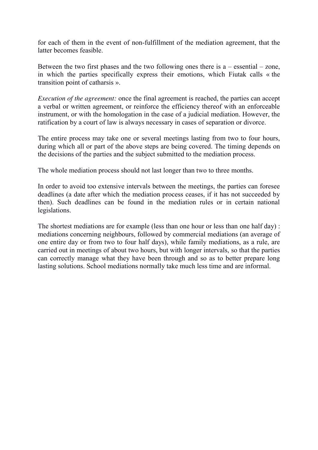for each of them in the event of non-fulfillment of the mediation agreement, that the latter becomes feasible.

Between the two first phases and the two following ones there is  $a$  – essential – zone, in which the parties specifically express their emotions, which Fiutak calls « the transition point of catharsis ».

*Execution of the agreement:* once the final agreement is reached, the parties can accept a verbal or written agreement, or reinforce the efficiency thereof with an enforceable instrument, or with the homologation in the case of a judicial mediation. However, the ratification by a court of law is always necessary in cases of separation or divorce.

The entire process may take one or several meetings lasting from two to four hours, during which all or part of the above steps are being covered. The timing depends on the decisions of the parties and the subject submitted to the mediation process.

The whole mediation process should not last longer than two to three months.

In order to avoid too extensive intervals between the meetings, the parties can foresee deadlines (a date after which the mediation process ceases, if it has not succeeded by then). Such deadlines can be found in the mediation rules or in certain national legislations.

The shortest mediations are for example (less than one hour or less than one half day) : mediations concerning neighbours, followed by commercial mediations (an average of one entire day or from two to four half days), while family mediations, as a rule, are carried out in meetings of about two hours, but with longer intervals, so that the parties can correctly manage what they have been through and so as to better prepare long lasting solutions. School mediations normally take much less time and are informal.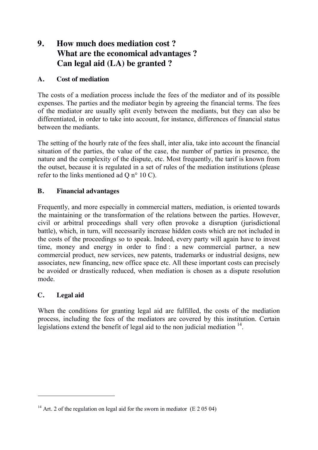# **9. How much does mediation cost ? What are the economical advantages ? Can legal aid (LA) be granted ?**

#### **A. Cost of mediation**

The costs of a mediation process include the fees of the mediator and of its possible expenses. The parties and the mediator begin by agreeing the financial terms. The fees of the mediator are usually split evenly between the mediants, but they can also be differentiated, in order to take into account, for instance, differences of financial status between the mediants.

The setting of the hourly rate of the fees shall, inter alia, take into account the financial situation of the parties, the value of the case, the number of parties in presence, the nature and the complexity of the dispute, etc. Most frequently, the tarif is known from the outset, because it is regulated in a set of rules of the mediation institutions (please refer to the links mentioned ad Q n° 10 C).

#### **B. Financial advantages**

Frequently, and more especially in commercial matters, mediation, is oriented towards the maintaining or the transformation of the relations between the parties. However, civil or arbitral proceedings shall very often provoke a disruption (jurisdictional battle), which, in turn, will necessarily increase hidden costs which are not included in the costs of the proceedings so to speak. Indeed, every party will again have to invest time, money and energy in order to find : a new commercial partner, a new commercial product, new services, new patents, trademarks or industrial designs, new associates, new financing, new office space etc. All these important costs can precisely be avoided or drastically reduced, when mediation is chosen as a dispute resolution mode.

#### **C. Legal aid**

1

When the conditions for granting legal aid are fulfilled, the costs of the mediation process, including the fees of the mediators are covered by this institution. Certain legislations extend the benefit of legal aid to the non judicial mediation  $14$ .

<sup>&</sup>lt;sup>14</sup> Art. 2 of the regulation on legal aid for the sworn in mediator (E 2 05 04)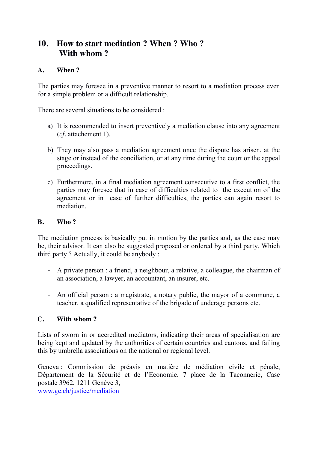# **10. How to start mediation ? When ? Who ? With whom ?**

#### **A. When ?**

The parties may foresee in a preventive manner to resort to a mediation process even for a simple problem or a difficult relationship.

There are several situations to be considered :

- a) It is recommended to insert preventively a mediation clause into any agreement (*cf.* attachement 1).
- b) They may also pass a mediation agreement once the dispute has arisen, at the stage or instead of the conciliation, or at any time during the court or the appeal proceedings.
- c) Furthermore, in a final mediation agreement consecutive to a first conflict, the parties may foresee that in case of difficulties related to the execution of the agreement or in case of further difficulties, the parties can again resort to mediation.

#### **B. Who ?**

The mediation process is basically put in motion by the parties and, as the case may be, their advisor. It can also be suggested proposed or ordered by a third party. Which third party ? Actually, it could be anybody :

- A private person : a friend, a neighbour, a relative, a colleague, the chairman of an association, a lawyer, an accountant, an insurer, etc.
- An official person : a magistrate, a notary public, the mayor of a commune, a teacher, a qualified representative of the brigade of underage persons etc.

#### **C. With whom ?**

Lists of sworn in or accredited mediators, indicating their areas of specialisation are being kept and updated by the authorities of certain countries and cantons, and failing this by umbrella associations on the national or regional level.

Geneva : Commission de préavis en matière de médiation civile et pénale, Département de la Sécurité et de l'Economie, 7 place de la Taconnerie, Case postale 3962, 1211 Genève 3,

[www.ge.ch/justice/mediation](http://www.ge.ch/justice/mediation)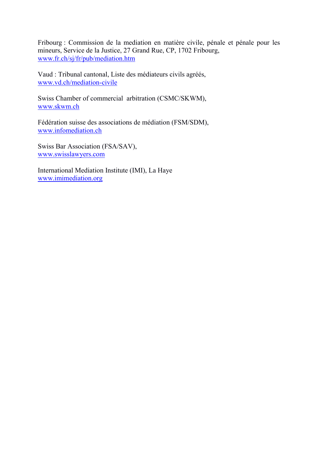Fribourg : Commission de la mediation en matière civile, pénale et pénale pour les mineurs, Service de la Justice, 27 Grand Rue, CP, 1702 Fribourg, [www.fr.ch/sj/fr/pub/mediation.htm](http://www.fr.ch/sj/fr/pub/mediation.htm)

Vaud : Tribunal cantonal, Liste des médiateurs civils agréés, [www.vd.ch/mediation-civile](http://www.vd.ch/mediation-civile)

Swiss Chamber of commercial arbitration (CSMC/SKWM), [www.skwm.ch](http://www.skwm.ch/)

Fédération suisse des associations de médiation (FSM/SDM), [www.infomediation.ch](http://www.infomediation.ch/)

Swiss Bar Association (FSA/SAV), [www.swisslawyers.com](http://www.swisslawyers.com/)

International Mediation Institute (IMI), La Haye [www.imimediation.org](http://www.imimediation.org/)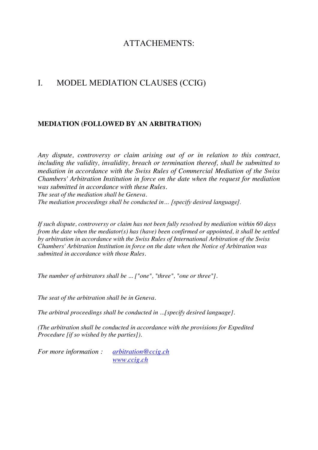# ATTACHEMENTS:

# I. MODEL MEDIATION CLAUSES (CCIG)

#### **MEDIATION (FOLLOWED BY AN ARBITRATION)**

*Any dispute, controversy or claim arising out of or in relation to this contract, including the validity, invalidity, breach or termination thereof, shall be submitted to mediation in accordance with the Swiss Rules of Commercial Mediation of the Swiss Chambers' Arbitration Institution in force on the date when the request for mediation was submitted in accordance with these Rules. The seat of the mediation shall be Geneva.*

*The mediation proceedings shall be conducted in… [specify desired language].*

*If such dispute, controversy or claim has not been fully resolved by mediation within 60 days from the date when the mediator(s) has (have) been confirmed or appointed, it shall be settled by arbitration in accordance with the Swiss Rules of International Arbitration of the Swiss Chambers' Arbitration Institution in force on the date when the Notice of Arbitration was submitted in accordance with those Rules.* 

*The number of arbitrators shall be ... ["one", "three", "one or three"].*

*The seat of the arbitration shall be in Geneva.* 

*The arbitral proceedings shall be conducted in ...[specify desired language].*

*(The arbitration shall be conducted in accordance with the provisions for Expedited Procedure [if so wished by the parties]).*

*For more information : [arbitration@ccig.ch](mailto:arbitration@ccig.ch) [www.ccig.ch](http://www.ccig.ch/)*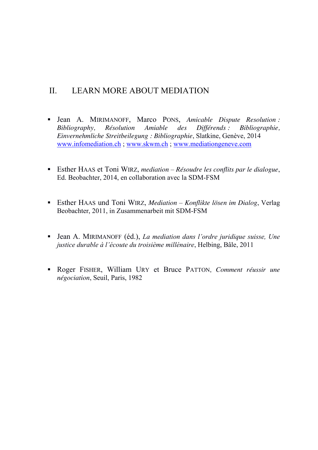# II. LEARN MORE ABOUT MEDIATION

- Jean A. MIRIMANOFF, Marco PONS, *Amicable Dispute Resolution : Bibliography, Résolution Amiable des Différends : Bibliographie, Einvernehmliche Streitbeilegung : Bibliographie*, Slatkine, Genève, 2014 [www.infomediation.ch](http://www.infomediation.ch/) ; [www.skwm.ch](http://www.skwm.ch/) ; [www.mediationgeneve.com](http://www.mediationgeneve.com/)
- Esther HAAS et Toni WIRZ, *mediation Résoudre les conflits par le dialogue*, Ed. Beobachter, 2014, en collaboration avec la SDM-FSM
- Esther HAAS und Toni WIRZ, *Mediation Konflikte lösen im Dialog*, Verlag Beobachter, 2011, in Zusammenarbeit mit SDM-FSM
- Jean A. MIRIMANOFF (éd.), *La mediation dans l'ordre juridique suisse, Une justice durable à l'écoute du troisième millénaire*, Helbing, Bâle, 2011
- Roger FISHER, William URY et Bruce PATTON, *Comment réussir une négociation*, Seuil, Paris, 1982